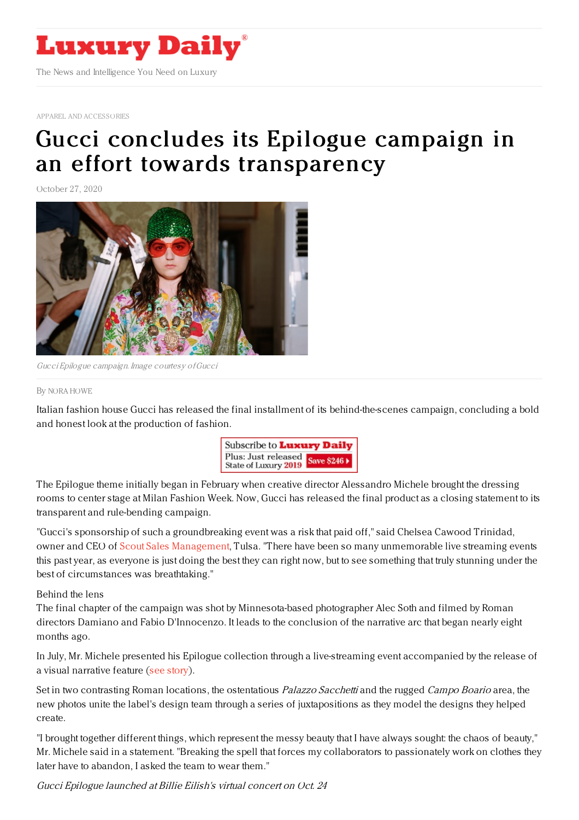

APPAREL AND [ACCESSORIES](https://www.luxurydaily.com/category/sectors/apparel-and-accessories/)

## Gucci concludes its Epilogue campaign in an effort towards [transparency](https://www.luxurydaily.com/gucci-releases-the-final-product-of-its-epilogue-campaign-in-an-effort-towards-transparency/)

October 27, 2020



Gucci Epilogue campaign. Image courtesy ofGucci

## By NORA [HOWE](file:///author/nora-howe)

Italian fashion house Gucci has released the final installment of its behind-the-scenes campaign, concluding a bold and honest look at the production of fashion.



The Epilogue theme initially began in February when creative director Alessandro Michele brought the dressing rooms to center stage at Milan Fashion Week. Now, Gucci has released the final product as a closing statement to its transparent and rule-bending campaign.

"Gucci's sponsorship of such a groundbreaking event was a risk that paid off," said Chelsea Cawood Trinidad, owner and CEO of Scout Sales [Management](https://www.scoutsalesmanagement.com/), Tulsa. "There have been so many unmemorable live streaming events this past year, as everyone is just doing the best they can right now, but to see something that truly stunning under the best of circumstances was breathtaking."

Behind the lens

The final chapter of the campaign was shot by Minnesota-based photographer Alec Soth and filmed by Roman directors Damiano and Fabio D'Innocenzo. It leads to the conclusion of the narrative arc that began nearly eight months ago.

In July, Mr. Michele presented his Epilogue collection through a live-streaming event accompanied by the release of a visual narrative feature (see [story](https://www.luxurydaily.com/gucci-to-unveil-epilogue-collection-via-live-streaming/)).

Set in two contrasting Roman locations, the ostentatious *Palazzo Sacchetti* and the rugged Campo Boario area, the new photos unite the label's design team through a series of juxtapositions as they model the designs they helped create.

"I brought together different things, which represent the messy beauty that I have always sought: the chaos of beauty," Mr. Michele said in a statement. "Breaking the spell that forces my collaborators to passionately work on clothes they later have to abandon, I asked the team to wear them."

Gucci Epilogue launched at Billie Eilish's virtual concert on Oct. 24